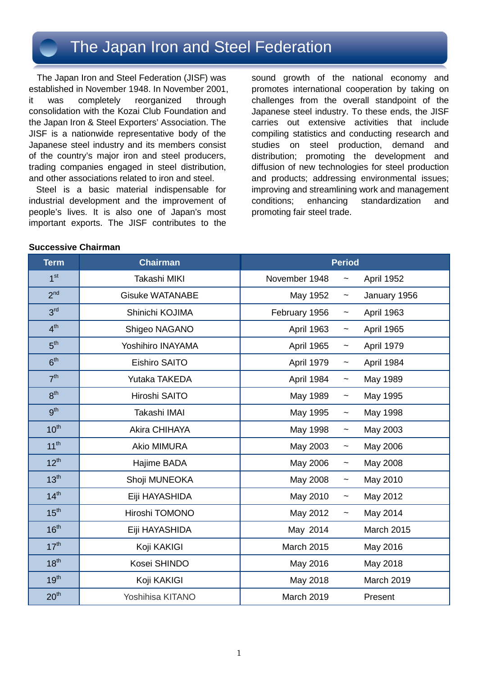### The Japan Iron and Steel Federation

The Japan Iron and Steel Federation (JISF) was established in November 1948. In November 2001, it was completely reorganized through consolidation with the Kozai Club Foundation and the Japan Iron & Steel Exporters' Association. The JISF is a nationwide representative body of the Japanese steel industry and its members consist of the country's major iron and steel producers, trading companies engaged in steel distribution, and other associations related to iron and steel.

Steel is a basic material indispensable for industrial development and the improvement of people's lives. It is also one of Japan's most important exports. The JISF contributes to the

sound growth of the national economy and promotes international cooperation by taking on challenges from the overall standpoint of the Japanese steel industry. To these ends, the JISF carries out extensive activities that include compiling statistics and conducting research and studies on steel production, demand and distribution; promoting the development and diffusion of new technologies for steel production and products; addressing environmental issues; improving and streamlining work and management conditions; enhancing standardization and promoting fair steel trade.

#### **Successive Chairman**

| <b>Term</b>      | <b>Chairman</b>        |                   | <b>Period</b>              |  |
|------------------|------------------------|-------------------|----------------------------|--|
| 1 <sup>st</sup>  | Takashi MIKI           | November 1948     | April 1952<br>$\tilde{}$   |  |
| 2 <sup>nd</sup>  | <b>Gisuke WATANABE</b> | May 1952          | January 1956<br>$\tilde{}$ |  |
| 3 <sup>rd</sup>  | Shinichi KOJIMA        | February 1956     | April 1963<br>$\tilde{}$   |  |
| 4 <sup>th</sup>  | Shigeo NAGANO          | <b>April 1963</b> | April 1965<br>$\tilde{}$   |  |
| 5 <sup>th</sup>  | Yoshihiro INAYAMA      | April 1965        | April 1979<br>$\tilde{}$   |  |
| 6 <sup>th</sup>  | <b>Eishiro SAITO</b>   | April 1979        | April 1984<br>$\tilde{}$   |  |
| 7 <sup>th</sup>  | Yutaka TAKEDA          | April 1984        | May 1989<br>$\tilde{}$     |  |
| 8 <sup>th</sup>  | Hiroshi SAITO          | May 1989          | May 1995<br>$\tilde{}$     |  |
| gth              | Takashi IMAI           | May 1995          | May 1998<br>$\tilde{}$     |  |
| 10 <sup>th</sup> | <b>Akira CHIHAYA</b>   | May 1998          | May 2003<br>$\tilde{}$     |  |
| $11^{th}$        | <b>Akio MIMURA</b>     | May 2003          | May 2006<br>$\tilde{}$     |  |
| $12^{th}$        | Hajime BADA            | May 2006          | May 2008<br>$\tilde{}$     |  |
| 13 <sup>th</sup> | Shoji MUNEOKA          | May 2008          | May 2010<br>$\tilde{}$     |  |
| 14 <sup>th</sup> | Eiji HAYASHIDA         | May 2010          | May 2012<br>$\tilde{}$     |  |
| 15 <sup>th</sup> | Hiroshi TOMONO         | May 2012          | May 2014<br>$\tilde{}$     |  |
| 16 <sup>th</sup> | Eiji HAYASHIDA         | May 2014          | <b>March 2015</b>          |  |
| 17 <sup>th</sup> | Koji KAKIGI            | March 2015        | May 2016                   |  |
| 18 <sup>th</sup> | Kosei SHINDO           | May 2016          | May 2018                   |  |
| 19 <sup>th</sup> | Koji KAKIGI            | May 2018          | March 2019                 |  |
| 20 <sup>th</sup> | Yoshihisa KITANO       | March 2019        | Present                    |  |
|                  |                        |                   |                            |  |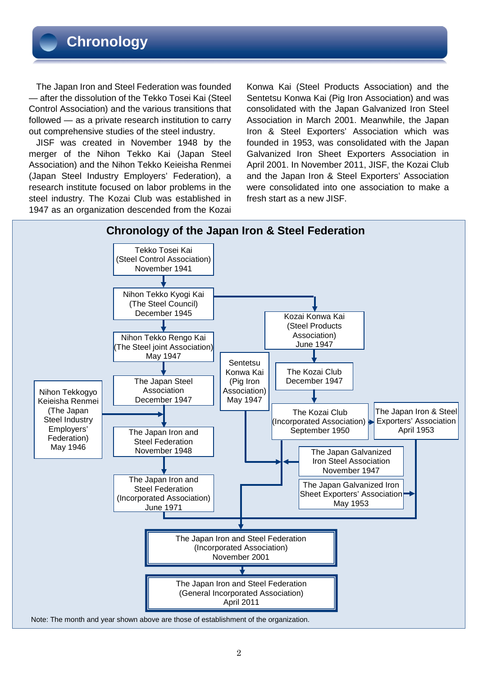The Japan Iron and Steel Federation was founded — after the dissolution of the Tekko Tosei Kai (Steel Control Association) and the various transitions that followed — as a private research institution to carry out comprehensive studies of the steel industry.

JISF was created in November 1948 by the merger of the Nihon Tekko Kai (Japan Steel Association) and the Nihon Tekko Keieisha Renmei (Japan Steel Industry Employers' Federation), a research institute focused on labor problems in the steel industry. The Kozai Club was established in 1947 as an organization descended from the Kozai

Konwa Kai (Steel Products Association) and the Sentetsu Konwa Kai (Pig Iron Association) and was consolidated with the Japan Galvanized Iron Steel Association in March 2001. Meanwhile, the Japan Iron & Steel Exporters' Association which was founded in 1953, was consolidated with the Japan Galvanized Iron Sheet Exporters Association in April 2001. In November 2011, JISF, the Kozai Club and the Japan Iron & Steel Exporters' Association were consolidated into one association to make a fresh start as a new JISF.

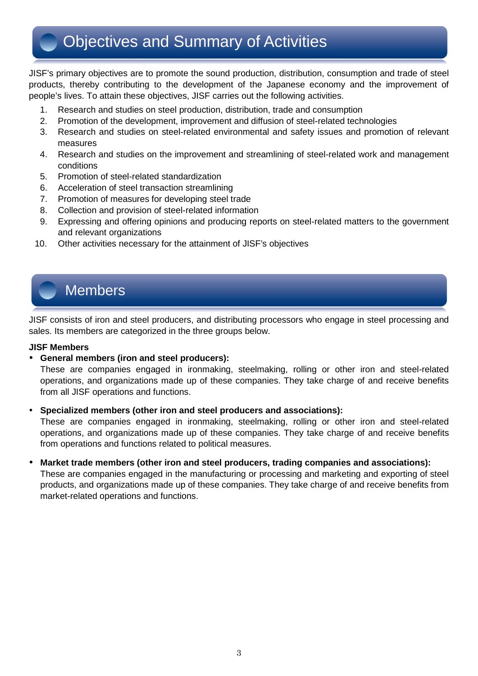JISF's primary objectives are to promote the sound production, distribution, consumption and trade of steel products, thereby contributing to the development of the Japanese economy and the improvement of people's lives. To attain these objectives, JISF carries out the following activities.

- 1. Research and studies on steel production, distribution, trade and consumption
- 2. Promotion of the development, improvement and diffusion of steel-related technologies
- 3. Research and studies on steel-related environmental and safety issues and promotion of relevant measures
- 4. Research and studies on the improvement and streamlining of steel-related work and management conditions
- 5. Promotion of steel-related standardization
- 6. Acceleration of steel transaction streamlining
- 7. Promotion of measures for developing steel trade
- 8. Collection and provision of steel-related information
- 9. Expressing and offering opinions and producing reports on steel-related matters to the government and relevant organizations
- 10. Other activities necessary for the attainment of JISF's objectives

### Members

JISF consists of iron and steel producers, and distributing processors who engage in steel processing and sales. Its members are categorized in the three groups below.

### **JISF Members**

### **General members (iron and steel producers):**

These are companies engaged in ironmaking, steelmaking, rolling or other iron and steel-related operations, and organizations made up of these companies. They take charge of and receive benefits from all JISF operations and functions.

### **Specialized members (other iron and steel producers and associations):**

These are companies engaged in ironmaking, steelmaking, rolling or other iron and steel-related operations, and organizations made up of these companies. They take charge of and receive benefits from operations and functions related to political measures.

### **Market trade members (other iron and steel producers, trading companies and associations):**

These are companies engaged in the manufacturing or processing and marketing and exporting of steel products, and organizations made up of these companies. They take charge of and receive benefits from market-related operations and functions.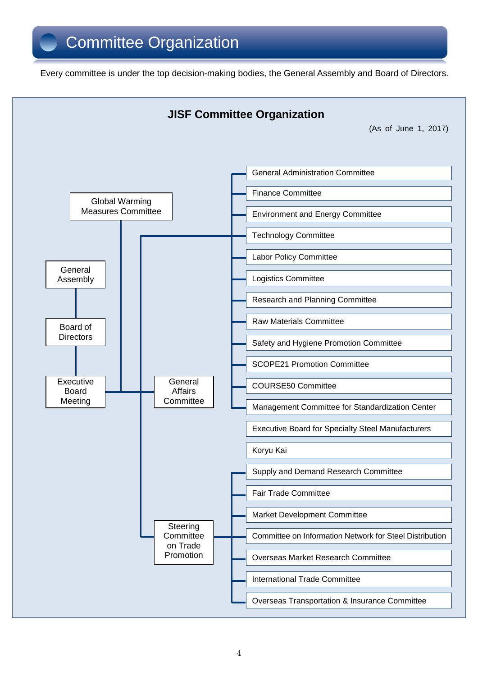Every committee is under the top decision-making bodies, the General Assembly and Board of Directors.

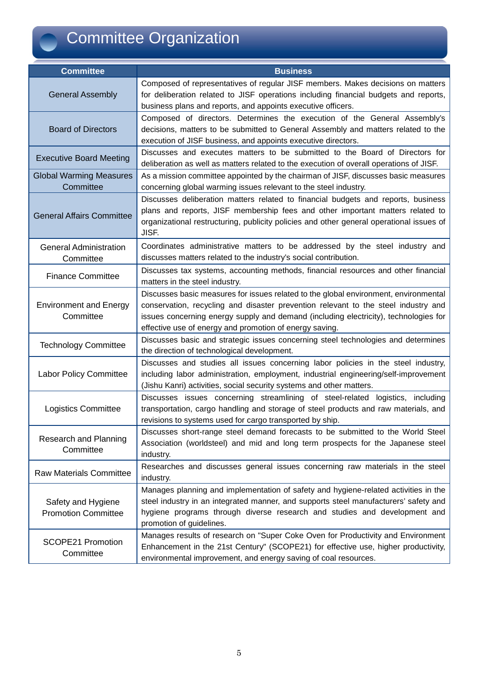# Committee Organization

| <b>Committee</b>                                 | <b>Business</b>                                                                                                                                                                                                                                                                                                               |  |  |  |
|--------------------------------------------------|-------------------------------------------------------------------------------------------------------------------------------------------------------------------------------------------------------------------------------------------------------------------------------------------------------------------------------|--|--|--|
| <b>General Assembly</b>                          | Composed of representatives of regular JISF members. Makes decisions on matters<br>for deliberation related to JISF operations including financial budgets and reports,<br>business plans and reports, and appoints executive officers.                                                                                       |  |  |  |
| <b>Board of Directors</b>                        | Composed of directors. Determines the execution of the General Assembly's<br>decisions, matters to be submitted to General Assembly and matters related to the<br>execution of JISF business, and appoints executive directors.                                                                                               |  |  |  |
| <b>Executive Board Meeting</b>                   | Discusses and executes matters to be submitted to the Board of Directors for<br>deliberation as well as matters related to the execution of overall operations of JISF.                                                                                                                                                       |  |  |  |
| <b>Global Warming Measures</b><br>Committee      | As a mission committee appointed by the chairman of JISF, discusses basic measures<br>concerning global warming issues relevant to the steel industry.                                                                                                                                                                        |  |  |  |
| <b>General Affairs Committee</b>                 | Discusses deliberation matters related to financial budgets and reports, business<br>plans and reports, JISF membership fees and other important matters related to<br>organizational restructuring, publicity policies and other general operational issues of<br>JISF.                                                      |  |  |  |
| <b>General Administration</b><br>Committee       | Coordinates administrative matters to be addressed by the steel industry and<br>discusses matters related to the industry's social contribution.                                                                                                                                                                              |  |  |  |
| <b>Finance Committee</b>                         | Discusses tax systems, accounting methods, financial resources and other financial<br>matters in the steel industry.                                                                                                                                                                                                          |  |  |  |
| <b>Environment and Energy</b><br>Committee       | Discusses basic measures for issues related to the global environment, environmental<br>conservation, recycling and disaster prevention relevant to the steel industry and<br>issues concerning energy supply and demand (including electricity), technologies for<br>effective use of energy and promotion of energy saving. |  |  |  |
| <b>Technology Committee</b>                      | Discusses basic and strategic issues concerning steel technologies and determines<br>the direction of technological development.                                                                                                                                                                                              |  |  |  |
| <b>Labor Policy Committee</b>                    | Discusses and studies all issues concerning labor policies in the steel industry,<br>including labor administration, employment, industrial engineering/self-improvement<br>(Jishu Kanri) activities, social security systems and other matters.                                                                              |  |  |  |
| <b>Logistics Committee</b>                       | Discusses issues concerning streamlining of steel-related logistics, including<br>transportation, cargo handling and storage of steel products and raw materials, and<br>revisions to systems used for cargo transported by ship.                                                                                             |  |  |  |
| Research and Planning<br>Committee               | Discusses short-range steel demand forecasts to be submitted to the World Steel<br>Association (worldsteel) and mid and long term prospects for the Japanese steel<br>industry.                                                                                                                                               |  |  |  |
| <b>Raw Materials Committee</b>                   | Researches and discusses general issues concerning raw materials in the steel<br>industry.                                                                                                                                                                                                                                    |  |  |  |
| Safety and Hygiene<br><b>Promotion Committee</b> | Manages planning and implementation of safety and hygiene-related activities in the<br>steel industry in an integrated manner, and supports steel manufacturers' safety and<br>hygiene programs through diverse research and studies and development and<br>promotion of guidelines.                                          |  |  |  |
| <b>SCOPE21 Promotion</b><br>Committee            | Manages results of research on "Super Coke Oven for Productivity and Environment<br>Enhancement in the 21st Century" (SCOPE21) for effective use, higher productivity,<br>environmental improvement, and energy saving of coal resources.                                                                                     |  |  |  |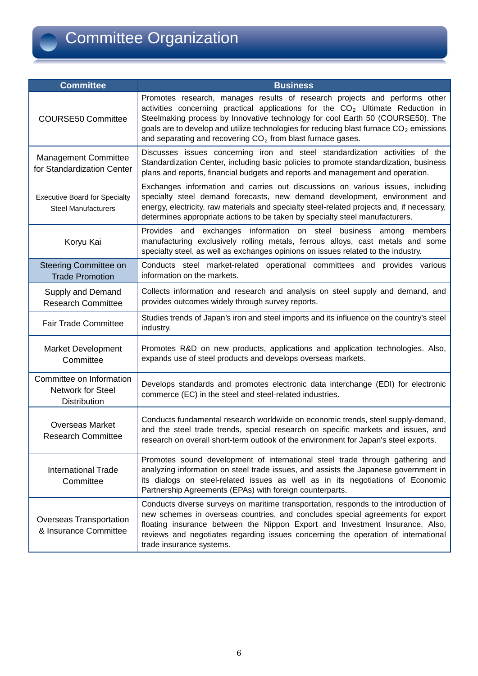

| <b>Committee</b>                                                   | <b>Business</b>                                                                                                                                                                                                                                                                                                                                                                                                                   |  |  |  |
|--------------------------------------------------------------------|-----------------------------------------------------------------------------------------------------------------------------------------------------------------------------------------------------------------------------------------------------------------------------------------------------------------------------------------------------------------------------------------------------------------------------------|--|--|--|
| <b>COURSE50 Committee</b>                                          | Promotes research, manages results of research projects and performs other<br>activities concerning practical applications for the CO <sub>2</sub> Ultimate Reduction in<br>Steelmaking process by Innovative technology for cool Earth 50 (COURSE50). The<br>goals are to develop and utilize technologies for reducing blast furnace $CO2$ emissions<br>and separating and recovering CO <sub>2</sub> from blast furnace gases. |  |  |  |
| <b>Management Committee</b><br>for Standardization Center          | Discusses issues concerning iron and steel standardization activities of the<br>Standardization Center, including basic policies to promote standardization, business<br>plans and reports, financial budgets and reports and management and operation.                                                                                                                                                                           |  |  |  |
| <b>Executive Board for Specialty</b><br><b>Steel Manufacturers</b> | Exchanges information and carries out discussions on various issues, including<br>specialty steel demand forecasts, new demand development, environment and<br>energy, electricity, raw materials and specialty steel-related projects and, if necessary,<br>determines appropriate actions to be taken by specialty steel manufacturers.                                                                                         |  |  |  |
| Koryu Kai                                                          | Provides and exchanges information on steel business among members<br>manufacturing exclusively rolling metals, ferrous alloys, cast metals and some<br>specialty steel, as well as exchanges opinions on issues related to the industry.                                                                                                                                                                                         |  |  |  |
| Steering Committee on<br><b>Trade Promotion</b>                    | Conducts steel market-related operational committees and provides various<br>information on the markets.                                                                                                                                                                                                                                                                                                                          |  |  |  |
| Supply and Demand<br><b>Research Committee</b>                     | Collects information and research and analysis on steel supply and demand, and<br>provides outcomes widely through survey reports.                                                                                                                                                                                                                                                                                                |  |  |  |
| <b>Fair Trade Committee</b>                                        | Studies trends of Japan's iron and steel imports and its influence on the country's steel<br>industry.                                                                                                                                                                                                                                                                                                                            |  |  |  |
| <b>Market Development</b><br>Committee                             | Promotes R&D on new products, applications and application technologies. Also,<br>expands use of steel products and develops overseas markets.                                                                                                                                                                                                                                                                                    |  |  |  |
| Committee on Information<br>Network for Steel<br>Distribution      | Develops standards and promotes electronic data interchange (EDI) for electronic<br>commerce (EC) in the steel and steel-related industries.                                                                                                                                                                                                                                                                                      |  |  |  |
| <b>Overseas Market</b><br><b>Research Committee</b>                | Conducts fundamental research worldwide on economic trends, steel supply-demand,<br>and the steel trade trends, special research on specific markets and issues, and<br>research on overall short-term outlook of the environment for Japan's steel exports.                                                                                                                                                                      |  |  |  |
| <b>International Trade</b><br>Committee                            | Promotes sound development of international steel trade through gathering and<br>analyzing information on steel trade issues, and assists the Japanese government in<br>its dialogs on steel-related issues as well as in its negotiations of Economic<br>Partnership Agreements (EPAs) with foreign counterparts.                                                                                                                |  |  |  |
| <b>Overseas Transportation</b><br>& Insurance Committee            | Conducts diverse surveys on maritime transportation, responds to the introduction of<br>new schemes in overseas countries, and concludes special agreements for export<br>floating insurance between the Nippon Export and Investment Insurance. Also,<br>reviews and negotiates regarding issues concerning the operation of international<br>trade insurance systems.                                                           |  |  |  |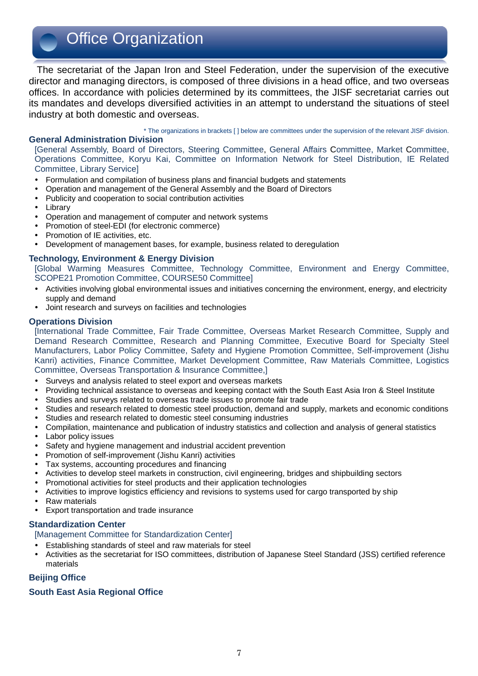## Office Organization

The secretariat of the Japan Iron and Steel Federation, under the supervision of the executive director and managing directors, is composed of three divisions in a head office, and two overseas offices. In accordance with policies determined by its committees, the JISF secretariat carries out its mandates and develops diversified activities in an attempt to understand the situations of steel industry at both domestic and overseas.

\* The organizations in brackets [ ] below are committees under the supervision of the relevant JISF division.

### **General Administration Division**

[General Assembly, Board of Directors, Steering Committee, General Affairs Committee, Market Committee, Operations Committee, Koryu Kai, Committee on Information Network for Steel Distribution, IE Related Committee, Library Service]

- Formulation and compilation of business plans and financial budgets and statements
- Operation and management of the General Assembly and the Board of Directors
- Publicity and cooperation to social contribution activities
- Librarv
- Operation and management of computer and network systems
- Promotion of steel-EDI (for electronic commerce)
- Promotion of IE activities, etc.
- Development of management bases, for example, business related to deregulation

### **Technology, Environment & Energy Division**

[Global Warming Measures Committee, Technology Committee, Environment and Energy Committee, SCOPE21 Promotion Committee, COURSE50 Committee]

- Activities involving global environmental issues and initiatives concerning the environment, energy, and electricity supply and demand
- Joint research and surveys on facilities and technologies

#### **Operations Division**

[International Trade Committee, Fair Trade Committee, Overseas Market Research Committee, Supply and Demand Research Committee, Research and Planning Committee, Executive Board for Specialty Steel Manufacturers, Labor Policy Committee, Safety and Hygiene Promotion Committee, Self-improvement (Jishu Kanri) activities, Finance Committee, Market Development Committee, Raw Materials Committee, Logistics Committee, Overseas Transportation & Insurance Committee,]

- Surveys and analysis related to steel export and overseas markets
- Providing technical assistance to overseas and keeping contact with the South East Asia Iron & Steel Institute
- Studies and surveys related to overseas trade issues to promote fair trade
- Studies and research related to domestic steel production, demand and supply, markets and economic conditions
- Studies and research related to domestic steel consuming industries
- Compilation, maintenance and publication of industry statistics and collection and analysis of general statistics
- Labor policy issues
- Safety and hygiene management and industrial accident prevention
- Promotion of self-improvement (Jishu Kanri) activities
- Tax systems, accounting procedures and financing
- Activities to develop steel markets in construction, civil engineering, bridges and shipbuilding sectors
- Promotional activities for steel products and their application technologies
- Activities to improve logistics efficiency and revisions to systems used for cargo transported by ship
- Raw materials
- Export transportation and trade insurance

### **Standardization Center**

[Management Committee for Standardization Center]

- Establishing standards of steel and raw materials for steel
- Activities as the secretariat for ISO committees, distribution of Japanese Steel Standard (JSS) certified reference materials

### **Beijing Office**

### **South East Asia Regional Office**